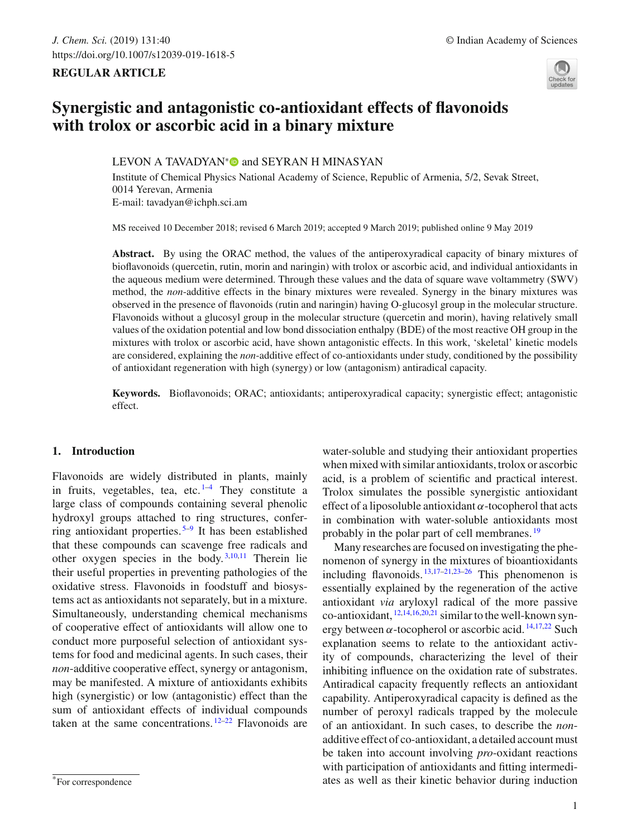# **REGULAR ARTICLE**



# **Synergistic and antagonistic co-antioxidant effects of flavonoids with trolox or ascorbic acid in a binary mixture**

# LEVON A TAVADYAN<sup>[∗](http://orcid.org/0000-0002-2199-3377)</sup> and SEYRAN H MINASYAN

Institute of Chemical Physics National Academy of Science, Republic of Armenia, 5/2, Sevak Street, 0014 Yerevan, Armenia E-mail: tavadyan@ichph.sci.am

MS received 10 December 2018; revised 6 March 2019; accepted 9 March 2019; published online 9 May 2019

**Abstract.** By using the ORAC method, the values of the antiperoxyradical capacity of binary mixtures of bioflavonoids (quercetin, rutin, morin and naringin) with trolox or ascorbic acid, and individual antioxidants in the aqueous medium were determined. Through these values and the data of square wave voltammetry (SWV) method, the *non*-additive effects in the binary mixtures were revealed. Synergy in the binary mixtures was observed in the presence of flavonoids (rutin and naringin) having O-glucosyl group in the molecular structure. Flavonoids without a glucosyl group in the molecular structure (quercetin and morin), having relatively small values of the oxidation potential and low bond dissociation enthalpy (BDE) of the most reactive OH group in the mixtures with trolox or ascorbic acid, have shown antagonistic effects. In this work, 'skeletal' kinetic models are considered, explaining the *non*-additive effect of co-antioxidants under study, conditioned by the possibility of antioxidant regeneration with high (synergy) or low (antagonism) antiradical capacity.

**Keywords.** Bioflavonoids; ORAC; antioxidants; antiperoxyradical capacity; synergistic effect; antagonistic effect.

## **1. Introduction**

Flavonoids are widely distributed in plants, mainly in fruits, vegetables, tea, etc. $1-4$  $1-4$  They constitute a large class of compounds containing several phenolic hydroxyl groups attached to ring structures, conferring antioxidant properties.<sup> $5-9$  $5-9$ </sup> It has been established that these compounds can scavenge free radicals and other oxygen species in the body. [3](#page-9-4)[,10](#page-9-5)[,11](#page-9-6) Therein lie their useful properties in preventing pathologies of the oxidative stress. Flavonoids in foodstuff and biosystems act as antioxidants not separately, but in a mixture. Simultaneously, understanding chemical mechanisms of cooperative effect of antioxidants will allow one to conduct more purposeful selection of antioxidant systems for food and medicinal agents. In such cases, their *non*-additive cooperative effect, synergy or antagonism, may be manifested. A mixture of antioxidants exhibits high (synergistic) or low (antagonistic) effect than the sum of antioxidant effects of individual compounds taken at the same concentrations.  $12-22$  $12-22$  Flavonoids are water-soluble and studying their antioxidant properties when mixed with similar antioxidants, trolox or ascorbic acid, is a problem of scientific and practical interest. Trolox simulates the possible synergistic antioxidant effect of a liposoluble antioxidant  $\alpha$ -tocopherol that acts in combination with water-soluble antioxidants most probably in the polar part of cell membranes.<sup>[19](#page-9-9)</sup>

Many researches are focused on investigating the phenomenon of synergy in the mixtures of bioantioxidants including flavonoids.  $13,17-21,23-26$  $13,17-21,23-26$  $13,17-21,23-26$  $13,17-21,23-26$  $13,17-21,23-26$  This phenomenon is essentially explained by the regeneration of the active antioxidant *via* aryloxyl radical of the more passive co-antioxidant, [12](#page-9-7)[,14](#page-9-15)[,16](#page-9-16)[,20](#page-9-17)[,21](#page-9-12) similar to the well-known synergy between  $\alpha$ -tocopherol or ascorbic acid.  $\frac{14,17,22}{14,17,22}$  $\frac{14,17,22}{14,17,22}$  $\frac{14,17,22}{14,17,22}$  $\frac{14,17,22}{14,17,22}$  $\frac{14,17,22}{14,17,22}$  Such explanation seems to relate to the antioxidant activity of compounds, characterizing the level of their inhibiting influence on the oxidation rate of substrates. Antiradical capacity frequently reflects an antioxidant capability. Antiperoxyradical capacity is defined as the number of peroxyl radicals trapped by the molecule of an antioxidant. In such cases, to describe the *non*additive effect of co-antioxidant, a detailed account must be taken into account involving *pro*-oxidant reactions with participation of antioxidants and fitting intermediates as well as their kinetic behavior during induction

<sup>\*</sup>For correspondence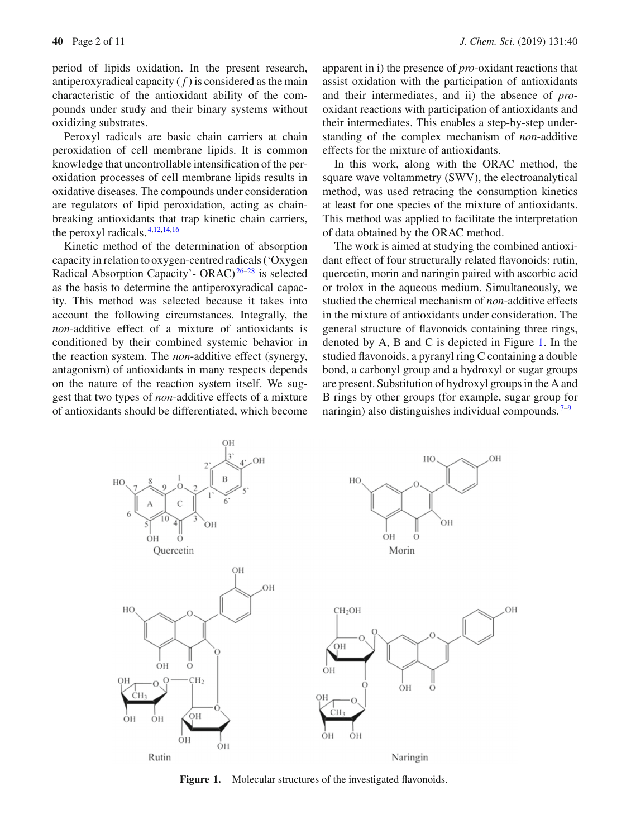period of lipids oxidation. In the present research, antiperoxyradical capacity  $(f)$  is considered as the main characteristic of the antioxidant ability of the compounds under study and their binary systems without oxidizing substrates.

Peroxyl radicals are basic chain carriers at chain peroxidation of cell membrane lipids. It is common knowledge that uncontrollable intensification of the peroxidation processes of cell membrane lipids results in oxidative diseases. The compounds under consideration are regulators of lipid peroxidation, acting as chainbreaking antioxidants that trap kinetic chain carriers, the peroxyl radicals. [4](#page-9-1)[,12](#page-9-7)[,14](#page-9-15)[,16](#page-9-16)

Kinetic method of the determination of absorption capacity in relation to oxygen-centred radicals ('Oxygen Radical Absorption Capacity'- ORAC) [26](#page-9-14)[–28](#page-9-18) is selected as the basis to determine the antiperoxyradical capacity. This method was selected because it takes into account the following circumstances. Integrally, the *non*-additive effect of a mixture of antioxidants is conditioned by their combined systemic behavior in the reaction system. The *non*-additive effect (synergy, antagonism) of antioxidants in many respects depends on the nature of the reaction system itself. We suggest that two types of *non*-additive effects of a mixture of antioxidants should be differentiated, which become apparent in i) the presence of *pro*-oxidant reactions that assist oxidation with the participation of antioxidants and their intermediates, and ii) the absence of *pro*oxidant reactions with participation of antioxidants and their intermediates. This enables a step-by-step understanding of the complex mechanism of *non*-additive effects for the mixture of antioxidants.

In this work, along with the ORAC method, the square wave voltammetry (SWV), the electroanalytical method, was used retracing the consumption kinetics at least for one species of the mixture of antioxidants. This method was applied to facilitate the interpretation of data obtained by the ORAC method.

The work is aimed at studying the combined antioxidant effect of four structurally related flavonoids: rutin, quercetin, morin and naringin paired with ascorbic acid or trolox in the aqueous medium. Simultaneously, we studied the chemical mechanism of *non*-additive effects in the mixture of antioxidants under consideration. The general structure of flavonoids containing three rings, denoted by A, B and C is depicted in Figure [1.](#page-1-0) In the studied flavonoids, a pyranyl ring C containing a double bond, a carbonyl group and a hydroxyl or sugar groups are present. Substitution of hydroxyl groups in the A and B rings by other groups (for example, sugar group for naringin) also distinguishes individual compounds.  $7-9$  $7-9$ 



<span id="page-1-0"></span>Figure 1. Molecular structures of the investigated flavonoids.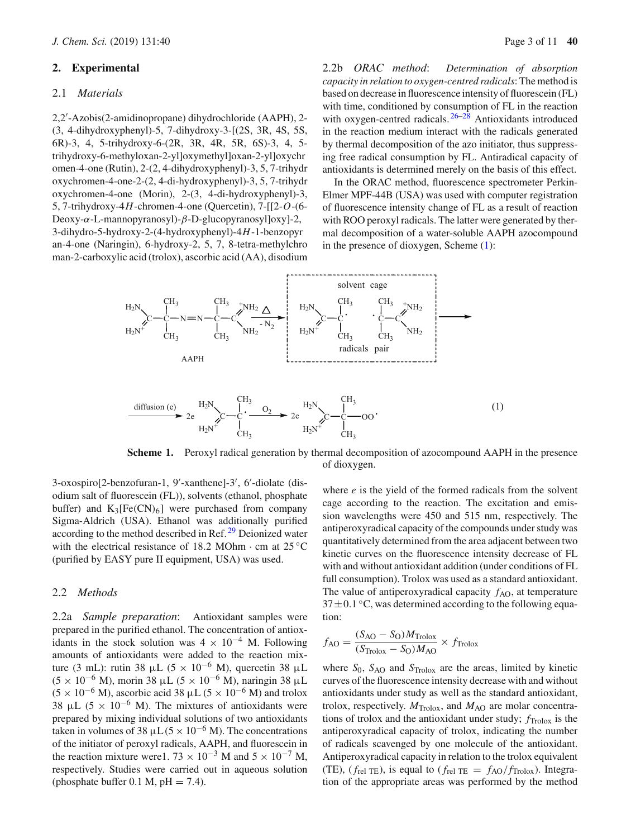## **2. Experimental**

### 2.1 *Materials*

2,2 -Azobis(2-amidinopropane) dihydrochloride (AAPH), 2- (3, 4-dihydroxyphenyl)-5, 7-dihydroxy-3-[(2S, 3R, 4S, 5S, 6R)-3, 4, 5-trihydroxy-6-(2R, 3R, 4R, 5R, 6S)-3, 4, 5 trihydroxy-6-methyloxan-2-yl]oxymethyl]oxan-2-yl]oxychr omen-4-one (Rutin), 2-(2, 4-dihydroxyphenyl)-3, 5, 7-trihydr oxychromen-4-one-2-(2, 4-di-hydroxyphenyl)-3, 5, 7-trihydr oxychromen-4-one (Morin), 2-(3, 4-di-hydroxyphenyl)-3, 5, 7-trihydroxy-4*H*-chromen-4-one (Quercetin), 7-[[2-*O*-(6- Deoxy-α-L-mannopyranosyl)-β-D-glucopyranosyl]oxy]-2, 3-dihydro-5-hydroxy-2-(4-hydroxyphenyl)-4*H*-1-benzopyr an-4-one (Naringin), 6-hydroxy-2, 5, 7, 8-tetra-methylchro man-2-carboxylic acid (trolox), ascorbic acid (AA), disodium

2.2b *ORAC method*: *Determination of absorption capacity in relation to oxygen-centred radicals*: The method is based on decrease in fluorescence intensity of fluorescein (FL) with time, conditioned by consumption of FL in the reaction with oxygen-centred radicals.  $26-28$  $26-28$  Antioxidants introduced in the reaction medium interact with the radicals generated by thermal decomposition of the azo initiator, thus suppressing free radical consumption by FL. Antiradical capacity of antioxidants is determined merely on the basis of this effect.

In the ORAC method, fluorescence spectrometer Perkin-Elmer MPF-44B (USA) was used with computer registration of fluorescence intensity change of FL as a result of reaction with ROO peroxyl radicals. The latter were generated by thermal decomposition of a water-soluble AAPH azocompound in the presence of dioxygen, Scheme [\(1\)](#page-1-0):



**Scheme 1.** Peroxyl radical generation by thermal decomposition of azocompound AAPH in the presence of dioxygen.

3-oxospiro[2-benzofuran-1, 9 -xanthene]-3 , 6 -diolate (disodium salt of fluorescein (FL)), solvents (ethanol, phosphate buffer) and  $K_3[Fe(CN)_6]$  were purchased from company Sigma-Aldrich (USA). Ethanol was additionally purified according to the method described in Ref.<sup>[29](#page-9-20)</sup> Deionized water with the electrical resistance of 18.2 MOhm $\cdot$  cm at 25 °C (purified by EASY pure II equipment, USA) was used.

#### 2.2 *Methods*

2.2a *Sample preparation*: Antioxidant samples were prepared in the purified ethanol. The concentration of antioxidants in the stock solution was  $4 \times 10^{-4}$  M. Following amounts of antioxidants were added to the reaction mixture (3 mL): rutin 38 µL (5 × 10<sup>-6</sup> M), quercetin 38 µL  $(5 \times 10^{-6}$  M), morin 38 μL  $(5 \times 10^{-6}$  M), naringin 38 μL  $(5 \times 10^{-6} \text{ M})$ , ascorbic acid 38 µL  $(5 \times 10^{-6} \text{ M})$  and trolox 38 µL (5  $\times$  10<sup>-6</sup> M). The mixtures of antioxidants were prepared by mixing individual solutions of two antioxidants taken in volumes of 38  $\mu$ L(5 × 10<sup>-6</sup> M). The concentrations of the initiator of peroxyl radicals, AAPH, and fluorescein in the reaction mixture were1.  $73 \times 10^{-3}$  M and  $5 \times 10^{-7}$  M, respectively. Studies were carried out in aqueous solution (phosphate buffer 0.1 M,  $pH = 7.4$ ).

where *e* is the yield of the formed radicals from the solvent cage according to the reaction. The excitation and emission wavelengths were 450 and 515 nm, respectively. The antiperoxyradical capacity of the compounds under study was quantitatively determined from the area adjacent between two kinetic curves on the fluorescence intensity decrease of FL with and without antioxidant addition (under conditions of FL full consumption). Trolox was used as a standard antioxidant. The value of antiperoxyradical capacity  $f_{AO}$ , at temperature  $37 \pm 0.1$  °C, was determined according to the following equation:

$$
f_{\text{AO}} = \frac{(S_{\text{AO}} - S_{\text{O}})M_{\text{Trolox}}}{(S_{\text{Trolox}} - S_{\text{O}})M_{\text{AO}}} \times f_{\text{Trolox}}
$$

where  $S_0$ ,  $S_{AO}$  and  $S_{Trolox}$  are the areas, limited by kinetic curves of the fluorescence intensity decrease with and without antioxidants under study as well as the standard antioxidant, trolox, respectively.  $M_{\text{Trolox}}$ , and  $M_{\text{AO}}$  are molar concentrations of trolox and the antioxidant under study;  $f_{\text{Trolox}}$  is the antiperoxyradical capacity of trolox, indicating the number of radicals scavenged by one molecule of the antioxidant. Antiperoxyradical capacity in relation to the trolox equivalent (TE), ( $f_{rel}$  TE), is equal to ( $f_{rel}$  TE =  $f_{AO}/f_{Trolox}$ ). Integration of the appropriate areas was performed by the method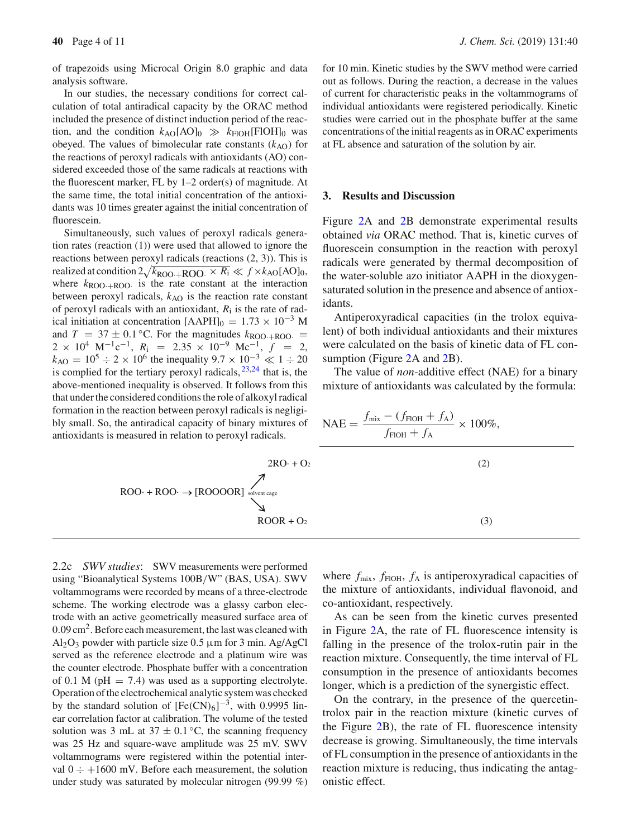of trapezoids using Microcal Origin 8.0 graphic and data analysis software.

In our studies, the necessary conditions for correct calculation of total antiradical capacity by the ORAC method included the presence of distinct induction period of the reaction, and the condition  $k_{AO}[AO]_0 \gg k_{FIOH}[FIOH]_0$  was obeyed. The values of bimolecular rate constants  $(k_{AO})$  for the reactions of peroxyl radicals with antioxidants (AO) considered exceeded those of the same radicals at reactions with the fluorescent marker, FL by 1–2 order(s) of magnitude. At the same time, the total initial concentration of the antioxidants was 10 times greater against the initial concentration of fluorescein.

Simultaneously, such values of peroxyl radicals generation rates (reaction (1)) were used that allowed to ignore the reactions between peroxyl radicals (reactions (2, 3)). This is realized at condition  $2\sqrt{k_{\text{ROO}} + \text{ROO}} \times \overline{R_1} \ll f \times k_{\text{AO}}[\text{AO}]_0$ , where  $k_{\text{ROO+ROO}}$  is the rate constant at the interaction between peroxyl radicals,  $k_{AO}$  is the reaction rate constant of peroxyl radicals with an antioxidant,  $R_i$  is the rate of radical initiation at concentration  $[AAPH]_0 = 1.73 \times 10^{-3}$  M and  $T = 37 \pm 0.1$  °C. For the magnitudes  $k_{\text{ROO+ROO}} =$  $2 \times 10^4$  M<sup>-1</sup>c<sup>-1</sup>,  $R_i$  = 2.35 × 10<sup>-9</sup> Mc<sup>-1</sup>,  $f$  = 2,  $k_{\text{AO}} = 10^5 \div 2 \times 10^6$  the inequality  $9.7 \times 10^{-3} \ll 1 \div 20$ is complied for the tertiary peroxyl radicals,  $23,24$  $23,24$  that is, the above-mentioned inequality is observed. It follows from this that under the considered conditions the role of alkoxyl radical formation in the reaction between peroxyl radicals is bly small. So, the antiradical capacity of binary mix antioxidants is measured in relation to peroxyl radical

for 10 min. Kinetic studies by the SWV method were carried out as follows. During the reaction, a decrease in the values of current for characteristic peaks in the voltammograms of individual antioxidants were registered periodically. Kinetic studies were carried out in the phosphate buffer at the same concentrations of the initial reagents as in ORAC experiments at FL absence and saturation of the solution by air.

## **3. Results and Discussion**

Figure [2A](#page-4-0) and [2B](#page-4-0) demonstrate experimental results obtained *via* ORAC method. That is, kinetic curves of fluorescein consumption in the reaction with peroxyl radicals were generated by thermal decomposition of the water-soluble azo initiator AAPH in the dioxygensaturated solution in the presence and absence of antioxidants.

Antiperoxyradical capacities (in the trolox equivalent) of both individual antioxidants and their mixtures were calculated on the basis of kinetic data of FL con-sumption (Figure [2A](#page-4-0) and [2B](#page-4-0)).

The value of *non*-additive effect (NAE) for a binary mixture of antioxidants was calculated by the formula:

2RO· + O2 (2) ROO· + ROO· [ROOOOR] solvent cage ROOR + O2 (3) NAE <sup>=</sup> *<sup>f</sup>*mix <sup>−</sup> ( *<sup>f</sup>*FlOH <sup>+</sup> *<sup>f</sup>*A) *f*FlOH + *f*<sup>A</sup> × 100%,

2.2c *SWV studies*: SWV measurements were performed using "Bioanalytical Systems 100B/W" (BAS, USA). SWV voltammograms were recorded by means of a three-electrode scheme. The working electrode was a glassy carbon electrode with an active geometrically measured surface area of 0.09 cm2. Before each measurement, the last was cleaned with  $Al_2O_3$  powder with particle size 0.5  $\mu$ m for 3 min. Ag/AgCl served as the reference electrode and a platinum wire was the counter electrode. Phosphate buffer with a concentration of 0.1 M ( $pH = 7.4$ ) was used as a supporting electrolyte. Operation of the electrochemical analytic system was checked by the standard solution of  $[Fe(CN)_6]^{-3}$ , with 0.9995 linear correlation factor at calibration. The volume of the tested solution was 3 mL at  $37 \pm 0.1$  °C, the scanning frequency was 25 Hz and square-wave amplitude was 25 mV. SWV voltammograms were registered within the potential interval  $0 \div +1600$  mV. Before each measurement, the solution under study was saturated by molecular nitrogen (99.99 %)

where  $f_{\text{mix}}$ ,  $f_{\text{FIOH}}$ ,  $f_{\text{A}}$  is antiperoxyradical capacities of the mixture of antioxidants, individual flavonoid, and co-antioxidant, respectively.

As can be seen from the kinetic curves presented in Figure [2A](#page-4-0), the rate of FL fluorescence intensity is falling in the presence of the trolox-rutin pair in the reaction mixture. Consequently, the time interval of FL consumption in the presence of antioxidants becomes longer, which is a prediction of the synergistic effect.

On the contrary, in the presence of the quercetintrolox pair in the reaction mixture (kinetic curves of the Figure [2B](#page-4-0)), the rate of FL fluorescence intensity decrease is growing. Simultaneously, the time intervals of FL consumption in the presence of antioxidants in the reaction mixture is reducing, thus indicating the antagonistic effect.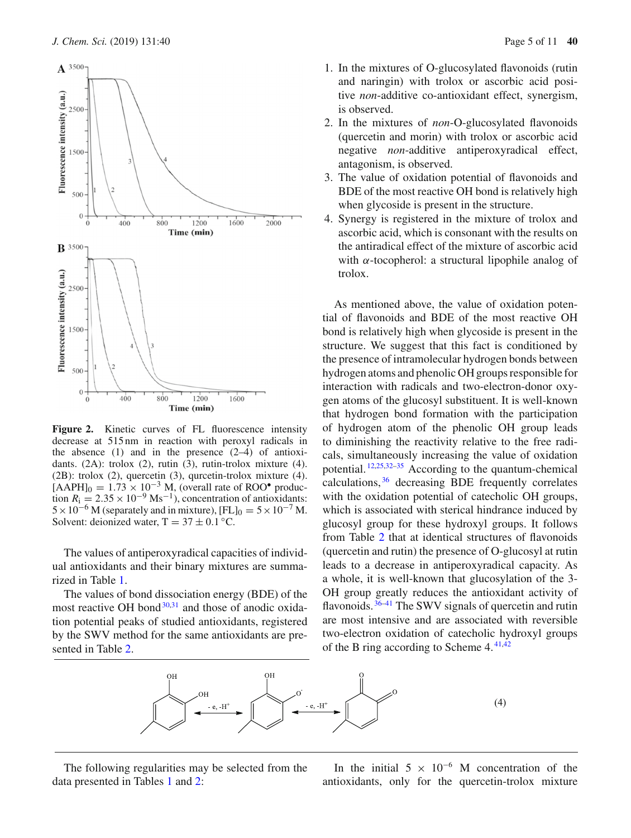

<span id="page-4-0"></span>Figure 2. Kinetic curves of FL fluorescence intensity decrease at 515 nm in reaction with peroxyl radicals in the absence  $(1)$  and in the presence  $(2-4)$  of antioxidants. (2A): trolox (2), rutin (3), rutin-trolox mixture (4). (2B): trolox (2), quercetin (3), qurcetin-trolox mixture (4).  $[AAPH]_0 = 1.73 \times 10^{-3}$  M, (overall rate of ROO<sup>•</sup> production  $R_1 = 2.35 \times 10^{-9} \text{ Ms}^{-1}$ , concentration of antioxidants:  $5 \times 10^{-6}$  M (separately and in mixture),  $[FL]_0 = 5 \times 10^{-7}$  M. Solvent: deionized water,  $T = 37 \pm 0.1$  °C.

The values of antiperoxyradical capacities of individual antioxidants and their binary mixtures are summarized in Table [1.](#page-5-0)

The values of bond dissociation energy (BDE) of the most reactive OH bond $30,31$  $30,31$  and those of anodic oxidation potential peaks of studied antioxidants, registered by the SWV method for the same antioxidants are presented in Table [2.](#page-5-1)

- 1. In the mixtures of O-glucosylated flavonoids (rutin and naringin) with trolox or ascorbic acid positive *non*-additive co-antioxidant effect, synergism, is observed.
- 2. In the mixtures of *non*-O-glucosylated flavonoids (quercetin and morin) with trolox or ascorbic acid negative *non*-additive antiperoxyradical effect, antagonism, is observed.
- 3. The value of oxidation potential of flavonoids and BDE of the most reactive OH bond is relatively high when glycoside is present in the structure.
- 4. Synergy is registered in the mixture of trolox and ascorbic acid, which is consonant with the results on the antiradical effect of the mixture of ascorbic acid with  $\alpha$ -tocopherol: a structural lipophile analog of trolox.

As mentioned above, the value of oxidation potential of flavonoids and BDE of the most reactive OH bond is relatively high when glycoside is present in the structure. We suggest that this fact is conditioned by the presence of intramolecular hydrogen bonds between hydrogen atoms and phenolic OH groups responsible for interaction with radicals and two-electron-donor oxygen atoms of the glucosyl substituent. It is well-known that hydrogen bond formation with the participation of hydrogen atom of the phenolic OH group leads to diminishing the reactivity relative to the free radicals, simultaneously increasing the value of oxidation potential.  $12,25,32-35$  $12,25,32-35$  $12,25,32-35$  $12,25,32-35$  According to the quantum-chemical calculations, [36](#page-10-1) decreasing BDE frequently correlates with the oxidation potential of catecholic OH groups, which is associated with sterical hindrance induced by glucosyl group for these hydroxyl groups. It follows from Table [2](#page-5-1) that at identical structures of flavonoids (quercetin and rutin) the presence of O-glucosyl at rutin leads to a decrease in antiperoxyradical capacity. As a whole, it is well-known that glucosylation of the 3- OH group greatly reduces the antioxidant activity of flavonoids.<sup>[36](#page-10-1)[–41](#page-10-2)</sup> The SWV signals of quercetin and rutin are most intensive and are associated with reversible two-electron oxidation of catecholic hydroxyl groups of the B ring according to Scheme  $4.41,42$  $4.41,42$  $4.41,42$ 



The following regularities may be selected from the data presented in Tables [1](#page-5-0) and [2:](#page-5-1)

In the initial  $5 \times 10^{-6}$  M concentration of the antioxidants, only for the quercetin-trolox mixture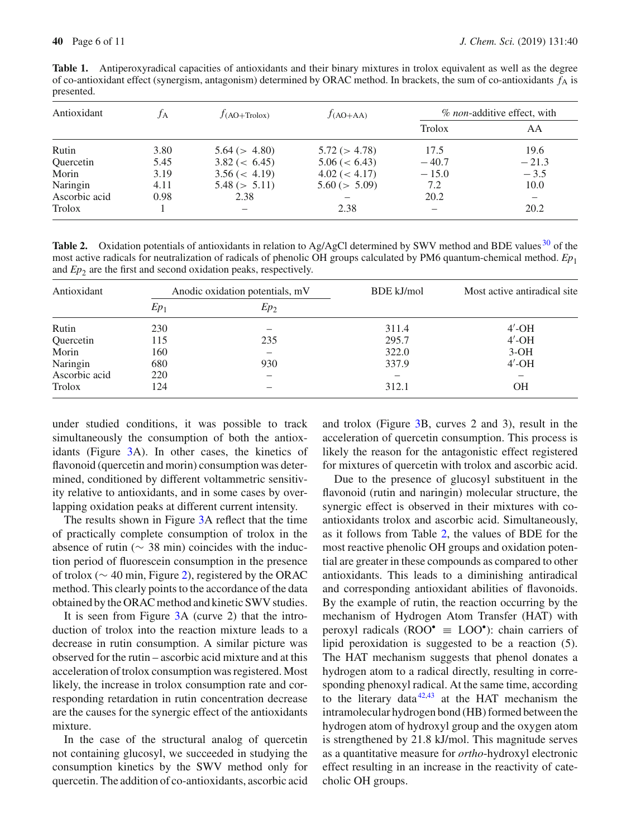<span id="page-5-0"></span>**Table 1.** Antiperoxyradical capacities of antioxidants and their binary mixtures in trolox equivalent as well as the degree of co-antioxidant effect (synergism, antagonism) determined by ORAC method. In brackets, the sum of co-antioxidants  $f_A$  is presented.

| Antioxidant   | TА   | $J(AO+Trolox)$    | $f_{(AO+AA)}$      | % non-additive effect, with |                          |
|---------------|------|-------------------|--------------------|-----------------------------|--------------------------|
|               |      |                   |                    | Trolox                      | AA                       |
| Rutin         | 3.80 | 5.64 (> 4.80)     | 5.72 (> 4.78)      | 17.5                        | 19.6                     |
| Quercetin     | 5.45 | $3.82 \ (< 6.45)$ | $5.06 \, (< 6.43)$ | $-40.7$                     | $-21.3$                  |
| Morin         | 3.19 | $3.56 \ (< 4.19)$ | 4.02 (< 4.17)      | $-15.0$                     | $-3.5$                   |
| Naringin      | 4.11 | 5.48 (> 5.11)     | 5.60 (> 5.09)      | 7.2                         | 10.0                     |
| Ascorbic acid | 0.98 | 2.38              |                    | 20.2                        | $\overline{\phantom{0}}$ |
| Trolox        |      |                   | 2.38               |                             | 20.2                     |

<span id="page-5-1"></span>**Table 2.** Oxidation potentials of antioxidants in relation to Ag/AgCl determined by SWV method and BDE values <sup>[30](#page-9-22)</sup> of the most active radicals for neutralization of radicals of phenolic OH groups calculated by PM6 quantum-chemical method. *Ep*<sup>1</sup> and *Ep*<sub>2</sub> are the first and second oxidation peaks, respectively.

| Antioxidant   | Anodic oxidation potentials, mV |        | BDE kJ/mol | Most active antiradical site. |
|---------------|---------------------------------|--------|------------|-------------------------------|
|               | $Ep_1$                          | $Ep_2$ |            |                               |
| Rutin         | 230                             |        | 311.4      | $4'$ -OH                      |
| Quercetin     | 115                             | 235    | 295.7      | $4'$ -OH                      |
| Morin         | 160                             |        | 322.0      | $3-OH$                        |
| Naringin      | 680                             | 930    | 337.9      | $4'$ -OH                      |
| Ascorbic acid | 220                             |        |            |                               |
| Trolox        | 124                             |        | 312.1      | OН                            |

under studied conditions, it was possible to track simultaneously the consumption of both the antioxidants (Figure [3A](#page-7-0)). In other cases, the kinetics of flavonoid (quercetin and morin) consumption was determined, conditioned by different voltammetric sensitivity relative to antioxidants, and in some cases by overlapping oxidation peaks at different current intensity.

The results shown in Figure [3A](#page-7-0) reflect that the time of practically complete consumption of trolox in the absence of rutin ( $\sim$  38 min) coincides with the induction period of fluorescein consumption in the presence of trolox (∼ 40 min, Figure [2\)](#page-4-0), registered by the ORAC method. This clearly points to the accordance of the data obtained by the ORAC method and kinetic SWV studies.

It is seen from Figure [3A](#page-7-0) (curve 2) that the introduction of trolox into the reaction mixture leads to a decrease in rutin consumption. A similar picture was observed for the rutin – ascorbic acid mixture and at this acceleration of trolox consumption was registered. Most likely, the increase in trolox consumption rate and corresponding retardation in rutin concentration decrease are the causes for the synergic effect of the antioxidants mixture.

In the case of the structural analog of quercetin not containing glucosyl, we succeeded in studying the consumption kinetics by the SWV method only for quercetin. The addition of co-antioxidants, ascorbic acid and trolox (Figure [3B](#page-7-0), curves 2 and 3), result in the acceleration of quercetin consumption. This process is likely the reason for the antagonistic effect registered for mixtures of quercetin with trolox and ascorbic acid.

Due to the presence of glucosyl substituent in the flavonoid (rutin and naringin) molecular structure, the synergic effect is observed in their mixtures with coantioxidants trolox and ascorbic acid. Simultaneously, as it follows from Table [2,](#page-5-1) the values of BDE for the most reactive phenolic OH groups and oxidation potential are greater in these compounds as compared to other antioxidants. This leads to a diminishing antiradical and corresponding antioxidant abilities of flavonoids. By the example of rutin, the reaction occurring by the mechanism of Hydrogen Atom Transfer (HAT) with peroxyl radicals ( $\text{ROO}^{\bullet} \equiv \text{LOO}^{\bullet}$ ): chain carriers of lipid peroxidation is suggested to be a reaction (5). The HAT mechanism suggests that phenol donates a hydrogen atom to a radical directly, resulting in corresponding phenoxyl radical. At the same time, according to the literary data $42,43$  $42,43$  at the HAT mechanism the intramolecular hydrogen bond (HB) formed between the hydrogen atom of hydroxyl group and the oxygen atom is strengthened by 21.8 kJ/mol. This magnitude serves as a quantitative measure for *ortho*-hydroxyl electronic effect resulting in an increase in the reactivity of catecholic OH groups.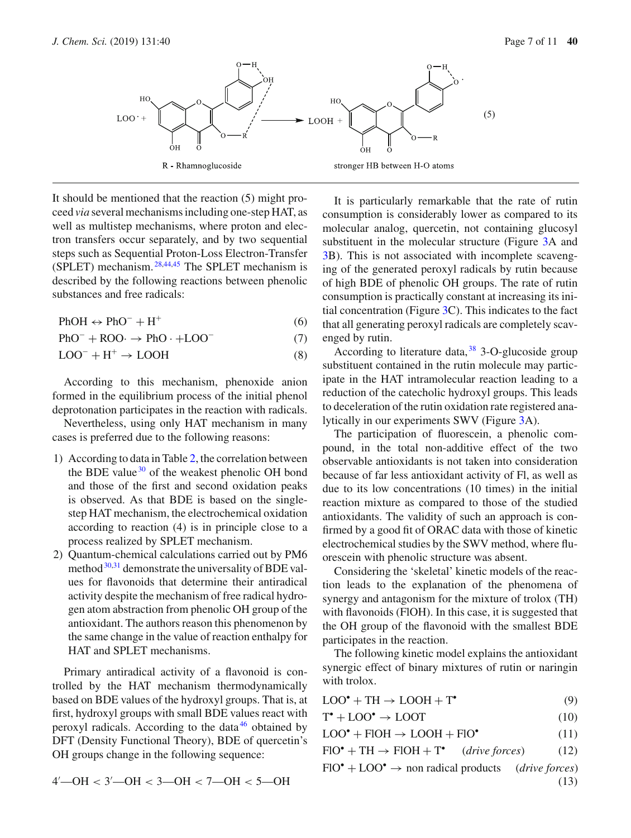

It should be mentioned that the reaction (5) might proceed *via* several mechanisms including one-step HAT, as well as multistep mechanisms, where proton and electron transfers occur separately, and by two sequential steps such as Sequential Proton-Loss Electron-Transfer (SPLET) mechanism. [28](#page-9-18)[,44](#page-10-5)[,45](#page-10-6) The SPLET mechanism is described by the following reactions between phenolic substances and free radicals:

$$
PhOH \leftrightarrow PhO^- + H^+ \tag{6}
$$

 $PhO^- + ROO \rightarrow PhO \cdot + LOO^-$  (7)

$$
LOO^{-} + H^{+} \rightarrow LOOH
$$
 (8)

According to this mechanism, phenoxide anion formed in the equilibrium process of the initial phenol deprotonation participates in the reaction with radicals.

Nevertheless, using only HAT mechanism in many cases is preferred due to the following reasons:

- 1) According to data in Table [2,](#page-5-1) the correlation between the BDE value  $30$  of the weakest phenolic OH bond and those of the first and second oxidation peaks is observed. As that BDE is based on the singlestep HAT mechanism, the electrochemical oxidation according to reaction (4) is in principle close to a process realized by SPLET mechanism.
- 2) Quantum-chemical calculations carried out by PM6 method  $30,31$  $30,31$  demonstrate the universality of BDE values for flavonoids that determine their antiradical activity despite the mechanism of free radical hydrogen atom abstraction from phenolic OH group of the antioxidant. The authors reason this phenomenon by the same change in the value of reaction enthalpy for HAT and SPLET mechanisms.

Primary antiradical activity of a flavonoid is controlled by the HAT mechanism thermodynamically based on BDE values of the hydroxyl groups. That is, at first, hydroxyl groups with small BDE values react with peroxyl radicals. According to the data  $46$  obtained by DFT (Density Functional Theory), BDE of quercetin's OH groups change in the following sequence:

It is particularly remarkable that the rate of rutin consumption is considerably lower as compared to its molecular analog, quercetin, not containing glucosyl substituent in the molecular structure (Figure [3A](#page-7-0) and [3B](#page-7-0)). This is not associated with incomplete scavenging of the generated peroxyl radicals by rutin because of high BDE of phenolic OH groups. The rate of rutin consumption is practically constant at increasing its initial concentration (Figure [3C](#page-7-0)). This indicates to the fact that all generating peroxyl radicals are completely scavenged by rutin.

According to literature data,  $38\,$  $38\,$  3-O-glucoside group substituent contained in the rutin molecule may participate in the HAT intramolecular reaction leading to a reduction of the catecholic hydroxyl groups. This leads to deceleration of the rutin oxidation rate registered analytically in our experiments SWV (Figure [3A](#page-7-0)).

The participation of fluorescein, a phenolic compound, in the total non-additive effect of the two observable antioxidants is not taken into consideration because of far less antioxidant activity of Fl, as well as due to its low concentrations (10 times) in the initial reaction mixture as compared to those of the studied antioxidants. The validity of such an approach is confirmed by a good fit of ORAC data with those of kinetic electrochemical studies by the SWV method, where fluorescein with phenolic structure was absent.

Considering the 'skeletal' kinetic models of the reaction leads to the explanation of the phenomena of synergy and antagonism for the mixture of trolox (TH) with flavonoids (FlOH). In this case, it is suggested that the OH group of the flavonoid with the smallest BDE participates in the reaction.

The following kinetic model explains the antioxidant synergic effect of binary mixtures of rutin or naringin with trolox.

<span id="page-6-3"></span><span id="page-6-2"></span>

| $LOO^{\bullet} + TH \rightarrow LOOH + T^{\bullet}$ |  |
|-----------------------------------------------------|--|
|                                                     |  |

$$
T^{\bullet} + \text{LOO}^{\bullet} \to \text{LOOT} \tag{10}
$$

<span id="page-6-1"></span><span id="page-6-0"></span>
$$
LOO^{\bullet} + FIOH \to LOOH + FIO^{\bullet} \tag{11}
$$

 $FIO^{\bullet} + TH \rightarrow FIOH + T^{\bullet}$  (*drive forces*) (12)

 $FIO^{\bullet} + LOO^{\bullet} \rightarrow$  non radical products (*drive forces*) (13)

$$
4' \text{---OH} < 3' \text{---OH} < 3 \text{---OH} < 7 \text{---OH} < 5 \text{---OH}
$$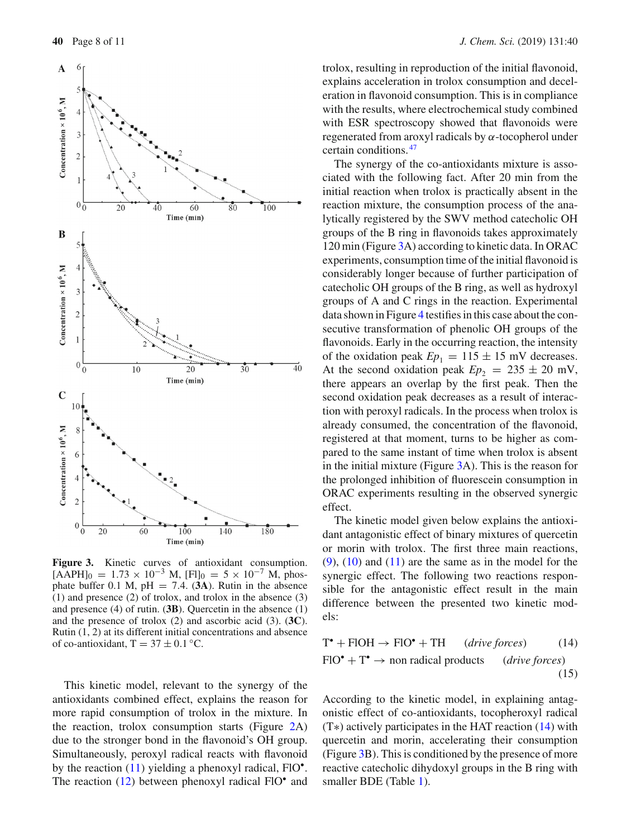

<span id="page-7-0"></span>**Figure 3.** Kinetic curves of antioxidant consumption.  $[A\overline{APH}]_0 = 1.73 \times 10^{-3}$  M,  $[FI]_0 = 5 \times 10^{-7}$  M, phosphate buffer 0.1 M,  $pH = 7.4$ . (3A). Rutin in the absence (1) and presence (2) of trolox, and trolox in the absence (3) and presence (4) of rutin. (**3B**). Quercetin in the absence (1) and the presence of trolox (2) and ascorbic acid (3). (**3C**). Rutin (1, 2) at its different initial concentrations and absence of co-antioxidant,  $T = 37 \pm 0.1$  °C.

This kinetic model, relevant to the synergy of the antioxidants combined effect, explains the reason for more rapid consumption of trolox in the mixture. In the reaction, trolox consumption starts (Figure [2A](#page-4-0)) due to the stronger bond in the flavonoid's OH group. Simultaneously, peroxyl radical reacts with flavonoid by the reaction  $(11)$  yielding a phenoxyl radical, FlO $^{\bullet}$ . The reaction [\(12\)](#page-6-1) between phenoxyl radical FlO<sup>•</sup> and trolox, resulting in reproduction of the initial flavonoid, explains acceleration in trolox consumption and deceleration in flavonoid consumption. This is in compliance with the results, where electrochemical study combined with ESR spectroscopy showed that flavonoids were regenerated from aroxyl radicals by  $\alpha$ -tocopherol under certain conditions. [47](#page-10-9)

The synergy of the co-antioxidants mixture is associated with the following fact. After 20 min from the initial reaction when trolox is practically absent in the reaction mixture, the consumption process of the analytically registered by the SWV method catecholic OH groups of the B ring in flavonoids takes approximately 120 min (Figure [3A](#page-7-0)) according to kinetic data. In ORAC experiments, consumption time of the initial flavonoid is considerably longer because of further participation of catecholic OH groups of the B ring, as well as hydroxyl groups of A and C rings in the reaction. Experimental data shown in Figure [4](#page-8-0) testifies in this case about the consecutive transformation of phenolic OH groups of the flavonoids. Early in the occurring reaction, the intensity of the oxidation peak  $Ep_1 = 115 \pm 15$  mV decreases. At the second oxidation peak  $Ep_2 = 235 \pm 20$  mV, there appears an overlap by the first peak. Then the second oxidation peak decreases as a result of interaction with peroxyl radicals. In the process when trolox is already consumed, the concentration of the flavonoid, registered at that moment, turns to be higher as compared to the same instant of time when trolox is absent in the initial mixture (Figure [3A](#page-7-0)). This is the reason for the prolonged inhibition of fluorescein consumption in ORAC experiments resulting in the observed synergic effect.

The kinetic model given below explains the antioxidant antagonistic effect of binary mixtures of quercetin or morin with trolox. The first three main reactions,  $(9)$ ,  $(10)$  and  $(11)$  are the same as in the model for the synergic effect. The following two reactions responsible for the antagonistic effect result in the main difference between the presented two kinetic models:

<span id="page-7-2"></span><span id="page-7-1"></span>
$$
T^{\bullet} + \text{FIOH} \rightarrow \text{FIO}^{\bullet} + \text{TH} \qquad (drive forces) \tag{14}
$$
  

$$
\text{FIO}^{\bullet} + T^{\bullet} \rightarrow \text{non radical products} \qquad (drive forces) \tag{15}
$$

According to the kinetic model, in explaining antagonistic effect of co-antioxidants, tocopheroxyl radical (T∗) actively participates in the HAT reaction [\(14\)](#page-7-1) with quercetin and morin, accelerating their consumption (Figure [3B](#page-7-0)). This is conditioned by the presence of more reactive catecholic dihydoxyl groups in the B ring with smaller BDE (Table [1\)](#page-5-0).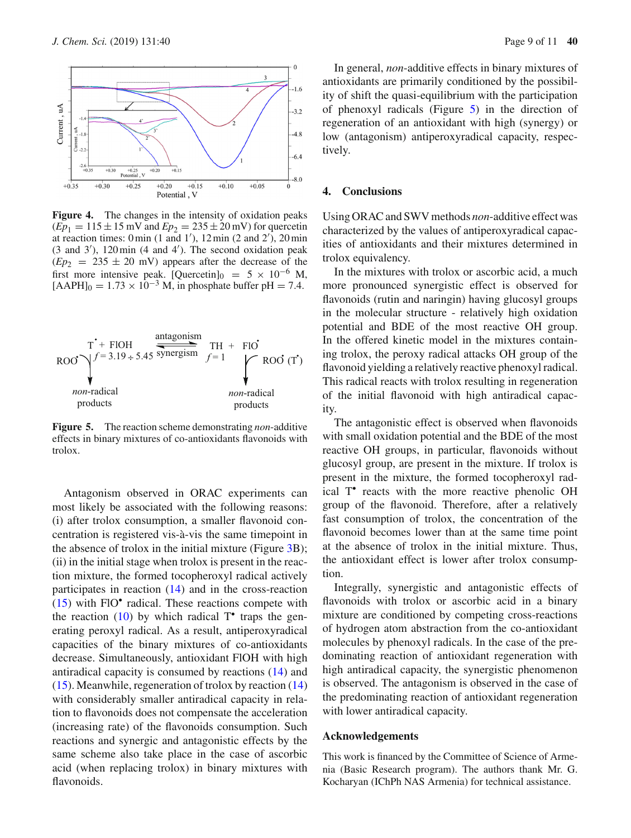

<span id="page-8-0"></span>Figure 4. The changes in the intensity of oxidation peaks  $(Ep_1 = 115 \pm 15 \text{ mV}$  and  $Ep_2 = 235 \pm 20 \text{ mV}$ ) for quercetin at reaction times:  $0 \text{ min } (1 \text{ and } 1'), 12 \text{ min } (2 \text{ and } 2'), 20 \text{ min}$ (3 and 3 ), 120 min (4 and 4 ). The second oxidation peak  $(Ep_2 = 235 \pm 20 \text{ mV})$  appears after the decrease of the first more intensive peak. [Quercetin] $_0$  = 5 × 10<sup>-6</sup> M,  $[AAPH]_0 = 1.73 \times 10^{-3}$  M, in phosphate buffer pH = 7.4.



<span id="page-8-1"></span>**Figure 5.** The reaction scheme demonstrating *non*-additive effects in binary mixtures of co-antioxidants flavonoids with trolox.

Antagonism observed in ORAC experiments can most likely be associated with the following reasons: (i) after trolox consumption, a smaller flavonoid concentration is registered vis-à-vis the same timepoint in the absence of trolox in the initial mixture (Figure [3B](#page-7-0)); (ii) in the initial stage when trolox is present in the reaction mixture, the formed tocopheroxyl radical actively participates in reaction [\(14\)](#page-7-1) and in the cross-reaction  $(15)$  with FlO $\degree$  radical. These reactions compete with the reaction [\(10\)](#page-6-3) by which radical  $T^{\bullet}$  traps the generating peroxyl radical. As a result, antiperoxyradical capacities of the binary mixtures of co-antioxidants decrease. Simultaneously, antioxidant FlOH with high antiradical capacity is consumed by reactions [\(14\)](#page-7-1) and [\(15\)](#page-7-2). Meanwhile, regeneration of trolox by reaction [\(14\)](#page-7-1) with considerably smaller antiradical capacity in relation to flavonoids does not compensate the acceleration (increasing rate) of the flavonoids consumption. Such reactions and synergic and antagonistic effects by the same scheme also take place in the case of ascorbic acid (when replacing trolox) in binary mixtures with flavonoids.

In general, *non*-additive effects in binary mixtures of antioxidants are primarily conditioned by the possibility of shift the quasi-equilibrium with the participation of phenoxyl radicals (Figure [5\)](#page-8-1) in the direction of regeneration of an antioxidant with high (synergy) or low (antagonism) antiperoxyradical capacity, respectively.

# **4. Conclusions**

Using ORAC and SWV methods *non*-additive effect was characterized by the values of antiperoxyradical capacities of antioxidants and their mixtures determined in trolox equivalency.

In the mixtures with trolox or ascorbic acid, a much more pronounced synergistic effect is observed for flavonoids (rutin and naringin) having glucosyl groups in the molecular structure - relatively high oxidation potential and BDE of the most reactive OH group. In the offered kinetic model in the mixtures containing trolox, the peroxy radical attacks OH group of the flavonoid yielding a relatively reactive phenoxyl radical. This radical reacts with trolox resulting in regeneration of the initial flavonoid with high antiradical capacity.

The antagonistic effect is observed when flavonoids with small oxidation potential and the BDE of the most reactive OH groups, in particular, flavonoids without glucosyl group, are present in the mixture. If trolox is present in the mixture, the formed tocopheroxyl radical T• reacts with the more reactive phenolic OH group of the flavonoid. Therefore, after a relatively fast consumption of trolox, the concentration of the flavonoid becomes lower than at the same time point at the absence of trolox in the initial mixture. Thus, the antioxidant effect is lower after trolox consumption.

Integrally, synergistic and antagonistic effects of flavonoids with trolox or ascorbic acid in a binary mixture are conditioned by competing cross-reactions of hydrogen atom abstraction from the co-antioxidant molecules by phenoxyl radicals. In the case of the predominating reaction of antioxidant regeneration with high antiradical capacity, the synergistic phenomenon is observed. The antagonism is observed in the case of the predominating reaction of antioxidant regeneration with lower antiradical capacity.

### **Acknowledgements**

This work is financed by the Committee of Science of Armenia (Basic Research program). The authors thank Mr. G. Kocharyan (IChPh NAS Armenia) for technical assistance.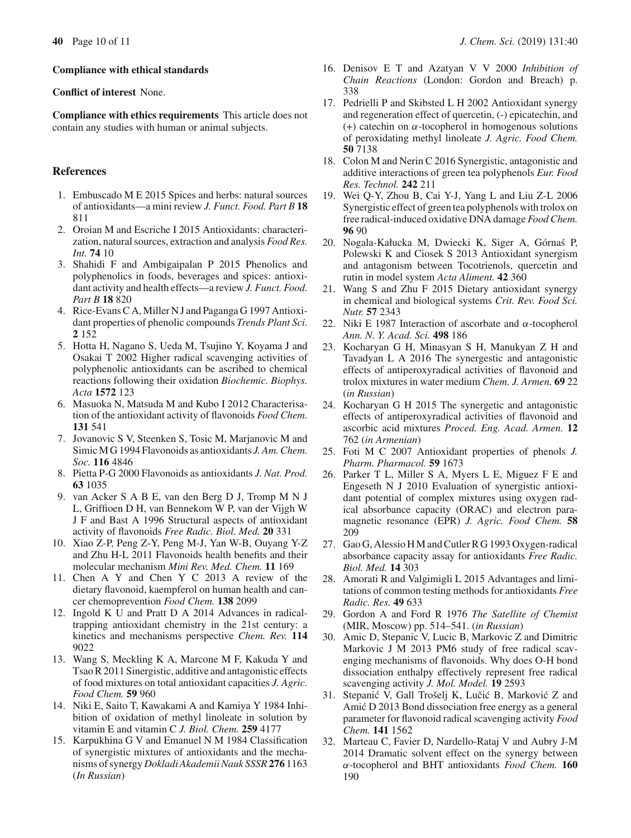#### **Compliance with ethical standards**

**Conflict of interest** None.

**Compliance with ethics requirements** This article does not contain any studies with human or animal subjects.

## **References**

- <span id="page-9-0"></span>1. Embuscado M E 2015 Spices and herbs: natural sources of antioxidants—a mini review *J. Funct. Food. Part B* **18** 811
- 2. Oroian M and Escriche I 2015 Antioxidants: characterization, natural sources, extraction and analysis *Food Res. Int.* **74** 10
- <span id="page-9-4"></span>3. Shahidi F and Ambigaipalan P 2015 Phenolics and polyphenolics in foods, beverages and spices: antioxidant activity and health effects—a review *J. Funct. Food. Part B* **18** 820
- <span id="page-9-1"></span>4. Rice-Evans C A, Miller N J and Paganga G 1997 Antioxidant properties of phenolic compounds *Trends Plant Sci.* **2** 152
- <span id="page-9-2"></span>5. Hotta H, Nagano S, Ueda M, Tsujino Y, Koyama J and Osakai T 2002 Higher radical scavenging activities of polyphenolic antioxidants can be ascribed to chemical reactions following their oxidation *Biochemic. Biophys. Acta* **1572** 123
- 6. Masuoka N, Matsuda M and Kubo I 2012 Characterisation of the antioxidant activity of flavonoids *Food Chem.* **131** 541
- <span id="page-9-19"></span>7. Jovanovic S V, Steenken S, Tosic M, Marjanovic M and Simic M G 1994 Flavonoids as antioxidants *J. Am. Chem. Soc.* **116** 4846
- 8. Pietta P-G 2000 Flavonoids as antioxidants *J. Nat. Prod.* **63** 1035
- <span id="page-9-3"></span>9. van Acker S A B E, van den Berg D J, Tromp M N J L, Griffioen D H, van Bennekom W P, van der Vijgh W J F and Bast A 1996 Structural aspects of antioxidant activity of flavonoids *Free Radic. Biol. Med.* **20** 331
- <span id="page-9-5"></span>10. Xiao Z-P, Peng Z-Y, Peng M-J, Yan W-B, Ouyang Y-Z and Zhu H-L 2011 Flavonoids health benefits and their molecular mechanism *Mini Rev. Med. Chem.* **11** 169
- <span id="page-9-6"></span>11. Chen A Y and Chen Y C 2013 A review of the dietary flavonoid, kaempferol on human health and cancer chemoprevention *Food Chem.* **138** 2099
- <span id="page-9-7"></span>12. Ingold K U and Pratt D A 2014 Advances in radicaltrapping antioxidant chemistry in the 21st century: a kinetics and mechanisms perspective *Chem. Rev.* **114** 9022
- <span id="page-9-10"></span>13. Wang S, Meckling K A, Marcone M F, Kakuda Y and Tsao R 2011 Sinergistic, additive and antagonistic effects of food mixtures on total antioxidant capacities *J. Agric. Food Chem.* **59** 960
- <span id="page-9-15"></span>14. Niki E, Saito T, Kawakami A and Kamiya Y 1984 Inhibition of oxidation of methyl linoleate in solution by vitamin E and vitamin C *J. Biol. Chem.* **259** 4177
- 15. Karpukhina G V and Emanuel N M 1984 Classification of synergistic mixtures of antioxidants and the mechanisms of synergy *Dokladi Akademii Nauk SSSR* **276** 1163 (*In Russian*)
- <span id="page-9-16"></span>16. Denisov E T and Azatyan V V 2000 *Inhibition of Chain Reactions* (London: Gordon and Breach) p. 338
- <span id="page-9-11"></span>17. Pedrielli P and Skibsted L H 2002 Antioxidant synergy and regeneration effect of quercetin, (-) epicatechin, and (+) catechin on  $\alpha$ -tocopherol in homogenous solutions of peroxidating methyl linoleate *J. Agric. Food Chem.* **50** 7138
- 18. Colon M and Nerin C 2016 Synergistic, antagonistic and additive interactions of green tea polyphenols *Eur. Food Res. Technol.* **242** 211
- <span id="page-9-9"></span>19. Wei Q-Y, Zhou B, Cai Y-J, Yang L and Liu Z-L 2006 Synergistic effect of green tea polyphenols with trolox on free radical-induced oxidative DNA damage *Food Chem.* **96** 90
- <span id="page-9-17"></span>20. Nogala-Kałucka M, Dwiecki K, Siger A, Górnaś P, Polewski K and Ciosek S 2013 Antioxidant synergism and antagonism between Tocotrienols, quercetin and rutin in model system *Acta Aliment.* **42** 360
- <span id="page-9-12"></span>21. Wang S and Zhu F 2015 Dietary antioxidant synergy in chemical and biological systems *Crit. Rev. Food Sci. Nutr.* **57** 2343
- <span id="page-9-8"></span>22. Niki E 1987 Interaction of ascorbate and  $\alpha$ -tocopherol *Ann. N. Y. Acad. Sci.* **498** 186
- <span id="page-9-13"></span>23. Kocharyan G H, Minasyan S H, Manukyan Z H and Tavadyan L A 2016 The synergestic and antagonistic effects of antiperoxyradical activities of flavonoid and trolox mixtures in water medium *Chem. J. Armen.* **69** 22 (*in Russian*)
- <span id="page-9-21"></span>24. Kocharyan G H 2015 The synergetic and antagonistic effects of antiperoxyradical activities of flavonoid and ascorbic acid mixtures *Proced. Eng. Acad. Armen.* **12** 762 (*in Armenian*)
- <span id="page-9-24"></span>25. Foti M C 2007 Antioxidant properties of phenols *J. Pharm. Pharmacol.* **59** 1673
- <span id="page-9-14"></span>26. Parker T L, Miller S A, Myers L E, Miguez F E and Engeseth N J 2010 Evaluation of synergistic antioxidant potential of complex mixtures using oxygen radical absorbance capacity (ORAC) and electron paramagnetic resonance (EPR) *J. Agric. Food Chem.* **58** 209
- 27. Gao G, Alessio H M and Cutler R G 1993 Oxygen-radical absorbance capacity assay for antioxidants *Free Radic. Biol. Med.* **14** 303
- <span id="page-9-18"></span>28. Amorati R and Valgimigli L 2015 Advantages and limitations of common testing methods for antioxidants *Free Radic. Res.* **49** 633
- <span id="page-9-20"></span>29. Gordon A and Ford R 1976 *The Satellite of Chemist* (MIR, Moscow) pp. 514–541. (*in Russian*)
- <span id="page-9-22"></span>30. Amic D, Stepanic V, Lucic B, Markovic Z and Dimitric Markovic J M 2013 PM6 study of free radical scavenging mechanisms of flavonoids. Why does O-H bond dissociation enthalpy effectively represent free radical scavenging activity *J. Mol. Model.* **19** 2593
- <span id="page-9-23"></span>31. Stepanić V, Gall Trošeli K, Lučić B, Marković Z and Amić D 2013 Bond dissociation free energy as a general parameter for flavonoid radical scavenging activity *Food Chem.* **141** 1562
- <span id="page-9-25"></span>32. Marteau C, Favier D, Nardello-Rataj V and Aubry J-M 2014 Dramatic solvent effect on the synergy between α-tocopherol and BHT antioxidants *Food Chem.* **160** 190